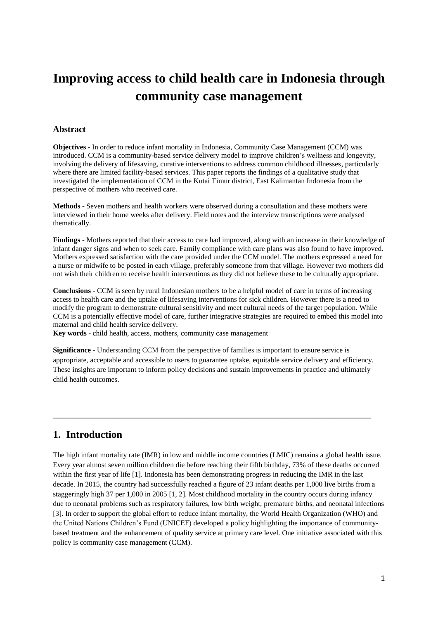# **Improving access to child health care in Indonesia through community case management**

### **Abstract**

**Objectives** - In order to reduce infant mortality in Indonesia, Community Case Management (CCM) was introduced. CCM is a community-based service delivery model to improve children's wellness and longevity, involving the delivery of lifesaving, curative interventions to address common childhood illnesses, particularly where there are limited facility-based services. This paper reports the findings of a qualitative study that investigated the implementation of CCM in the Kutai Timur district, East Kalimantan Indonesia from the perspective of mothers who received care.

**Methods** - Seven mothers and health workers were observed during a consultation and these mothers were interviewed in their home weeks after delivery. Field notes and the interview transcriptions were analysed thematically.

**Findings** - Mothers reported that their access to care had improved, along with an increase in their knowledge of infant danger signs and when to seek care. Family compliance with care plans was also found to have improved. Mothers expressed satisfaction with the care provided under the CCM model. The mothers expressed a need for a nurse or midwife to be posted in each village, preferably someone from that village. However two mothers did not wish their children to receive health interventions as they did not believe these to be culturally appropriate.

**Conclusions** - CCM is seen by rural Indonesian mothers to be a helpful model of care in terms of increasing access to health care and the uptake of lifesaving interventions for sick children. However there is a need to modify the program to demonstrate cultural sensitivity and meet cultural needs of the target population. While CCM is a potentially effective model of care, further integrative strategies are required to embed this model into maternal and child health service delivery.

**Key words** - child health, access, mothers, community case management

**Significance** - Understanding CCM from the perspective of families is important to ensure service is appropriate, acceptable and accessible to users to guarantee uptake, equitable service delivery and efficiency. These insights are important to inform policy decisions and sustain improvements in practice and ultimately child health outcomes.

\_\_\_\_\_\_\_\_\_\_\_\_\_\_\_\_\_\_\_\_\_\_\_\_\_\_\_\_\_\_\_\_\_\_\_\_\_\_\_\_\_\_\_\_\_\_\_\_\_\_\_\_\_\_\_\_\_\_\_\_\_\_\_\_\_\_\_\_\_\_\_\_

# **1. Introduction**

The high infant mortality rate (IMR) in low and middle income countries (LMIC) remains a global health issue. Every year almost seven million children die before reaching their fifth birthday, 73% of these deaths occurred within the first year of life [\[1\]](#page-7-0). Indonesia has been demonstrating progress in reducing the IMR in the last decade. In 2015, the country had successfully reached a figure of 23 infant deaths per 1,000 live births from a staggeringly high 37 per 1,000 in 2005 [\[1,](#page-7-0) [2\]](#page-7-1). Most childhood mortality in the country occurs during infancy due to neonatal problems such as respiratory failures, low birth weight, premature births, and neonatal infections [\[3\]](#page-7-2). In order to support the global effort to reduce infant mortality, the World Health Organization (WHO) and the United Nations Children's Fund (UNICEF) developed a policy highlighting the importance of communitybased treatment and the enhancement of quality service at primary care level. One initiative associated with this policy is community case management (CCM).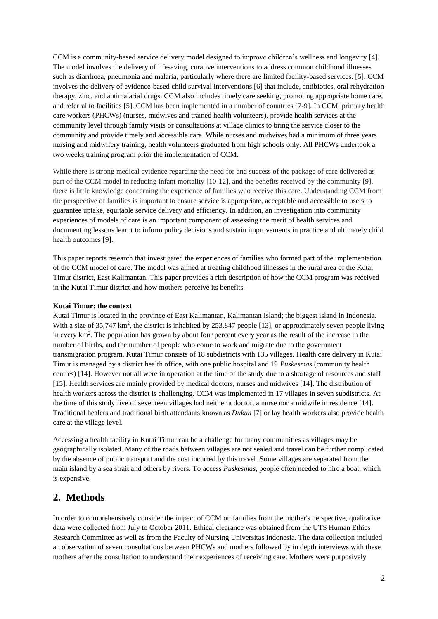CCM is a community-based service delivery model designed to improve children's wellness and longevity [\[4\]](#page-7-3). The model involves the delivery of lifesaving, curative interventions to address common childhood illnesses such as diarrhoea, pneumonia and malaria, particularly where there are limited facility-based services. [\[5\]](#page-7-4). CCM involves the delivery of evidence-based child survival interventions [\[6\]](#page-7-5) that include, antibiotics, oral rehydration therapy, zinc, and antimalarial drugs. CCM also includes timely care seeking, promoting appropriate home care, and referral to facilities [\[5\]](#page-7-4). CCM has been implemented in a number of countries [\[7-9\]](#page-7-6). In CCM, primary health care workers (PHCWs) (nurses, midwives and trained health volunteers), provide health services at the community level through family visits or consultations at village clinics to bring the service closer to the community and provide timely and accessible care. While nurses and midwives had a minimum of three years nursing and midwifery training, health volunteers graduated from high schools only. All PHCWs undertook a two weeks training program prior the implementation of CCM.

While there is strong medical evidence regarding the need for and success of the package of care delivered as part of the CCM model in reducing infant mortality [\[10-12\]](#page-7-7), and the benefits received by the community [\[9\]](#page-7-8), there is little knowledge concerning the experience of families who receive this care. Understanding CCM from the perspective of families is important to ensure service is appropriate, acceptable and accessible to users to guarantee uptake, equitable service delivery and efficiency. In addition, an investigation into community experiences of models of care is an important component of assessing the merit of health services and documenting lessons learnt to inform policy decisions and sustain improvements in practice and ultimately child health outcomes [\[9\]](#page-7-8).

This paper reports research that investigated the experiences of families who formed part of the implementation of the CCM model of care. The model was aimed at treating childhood illnesses in the rural area of the Kutai Timur district, East Kalimantan. This paper provides a rich description of how the CCM program was received in the Kutai Timur district and how mothers perceive its benefits.

#### **Kutai Timur: the context**

Kutai Timur is located in the province of East Kalimantan, Kalimantan Island; the biggest island in Indonesia. With a size of 35,747 km<sup>2</sup>, the district is inhabited by 253,847 people [\[13\]](#page-7-9), or approximately seven people living in every  $km<sup>2</sup>$ . The population has grown by about four percent every year as the result of the increase in the number of births, and the number of people who come to work and migrate due to the government transmigration program. Kutai Timur consists of 18 subdistricts with 135 villages. Health care delivery in Kutai Timur is managed by a district health office, with one public hospital and 19 *Puskesmas* (community health centres) [\[14\]](#page-7-10). However not all were in operation at the time of the study due to a shortage of resources and staff [\[15\]](#page-7-11). Health services are mainly provided by medical doctors, nurses and midwives [\[14\]](#page-7-10). The distribution of health workers across the district is challenging. CCM was implemented in 17 villages in seven subdistricts. At the time of this study five of seventeen villages had neither a doctor, a nurse nor a midwife in residence [\[14\]](#page-7-10). Traditional healers and traditional birth attendants known as *Dukun* [\[7\]](#page-7-6) or lay health workers also provide health care at the village level.

Accessing a health facility in Kutai Timur can be a challenge for many communities as villages may be geographically isolated. Many of the roads between villages are not sealed and travel can be further complicated by the absence of public transport and the cost incurred by this travel. Some villages are separated from the main island by a sea strait and others by rivers. To access *Puskesmas*, people often needed to hire a boat, which is expensive.

### **2. Methods**

In order to comprehensively consider the impact of CCM on families from the mother's perspective, qualitative data were collected from July to October 2011. Ethical clearance was obtained from the UTS Human Ethics Research Committee as well as from the Faculty of Nursing Universitas Indonesia. The data collection included an observation of seven consultations between PHCWs and mothers followed by in depth interviews with these mothers after the consultation to understand their experiences of receiving care. Mothers were purposively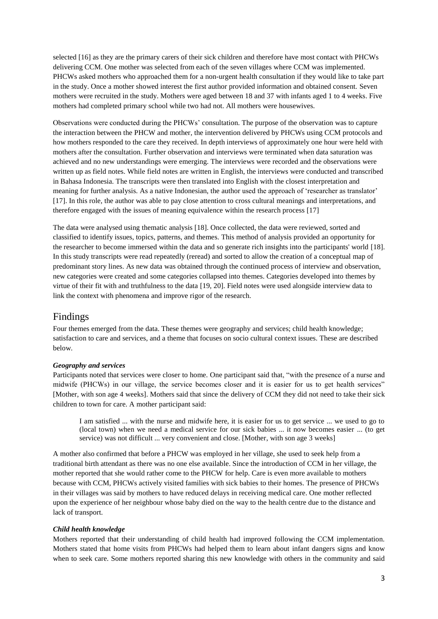selected [\[16\]](#page-7-12) as they are the primary carers of their sick children and therefore have most contact with PHCWs delivering CCM. One mother was selected from each of the seven villages where CCM was implemented. PHCWs asked mothers who approached them for a non-urgent health consultation if they would like to take part in the study. Once a mother showed interest the first author provided information and obtained consent. Seven mothers were recruited in the study. Mothers were aged between 18 and 37 with infants aged 1 to 4 weeks. Five mothers had completed primary school while two had not. All mothers were housewives.

Observations were conducted during the PHCWs' consultation. The purpose of the observation was to capture the interaction between the PHCW and mother, the intervention delivered by PHCWs using CCM protocols and how mothers responded to the care they received. In depth interviews of approximately one hour were held with mothers after the consultation. Further observation and interviews were terminated when data saturation was achieved and no new understandings were emerging. The interviews were recorded and the observations were written up as field notes. While field notes are written in English, the interviews were conducted and transcribed in Bahasa Indonesia. The transcripts were then translated into English with the closest interpretation and meaning for further analysis. As a native Indonesian, the author used the approach of 'researcher as translator' [\[17\]](#page-7-13). In this role, the author was able to pay close attention to cross cultural meanings and interpretations, and therefore engaged with the issues of meaning equivalence within the research process [\[17\]](#page-7-13)

The data were analysed using thematic analysis [\[18\]](#page-7-14). Once collected, the data were reviewed, sorted and classified to identify issues, topics, patterns, and themes. This method of analysis provided an opportunity for the researcher to become immersed within the data and so generate rich insights into the participants' world [\[18\]](#page-7-14). In this study transcripts were read repeatedly (reread) and sorted to allow the creation of a conceptual map of predominant story lines. As new data was obtained through the continued process of interview and observation, new categories were created and some categories collapsed into themes. Categories developed into themes by virtue of their fit with and truthfulness to the data [\[19,](#page-7-15) [20\]](#page-7-16). Field notes were used alongside interview data to link the context with phenomena and improve rigor of the research.

# Findings

Four themes emerged from the data. These themes were geography and services; child health knowledge; satisfaction to care and services, and a theme that focuses on socio cultural context issues. These are described below.

### *Geography and services*

Participants noted that services were closer to home. One participant said that, "with the presence of a nurse and midwife (PHCWs) in our village, the service becomes closer and it is easier for us to get health services" [Mother, with son age 4 weeks]. Mothers said that since the delivery of CCM they did not need to take their sick children to town for care. A mother participant said:

I am satisfied ... with the nurse and midwife here, it is easier for us to get service ... we used to go to (local town) when we need a medical service for our sick babies ... it now becomes easier ... (to get service) was not difficult ... very convenient and close. [Mother, with son age 3 weeks]

A mother also confirmed that before a PHCW was employed in her village, she used to seek help from a traditional birth attendant as there was no one else available. Since the introduction of CCM in her village, the mother reported that she would rather come to the PHCW for help. Care is even more available to mothers because with CCM, PHCWs actively visited families with sick babies to their homes. The presence of PHCWs in their villages was said by mothers to have reduced delays in receiving medical care. One mother reflected upon the experience of her neighbour whose baby died on the way to the health centre due to the distance and lack of transport.

### *Child health knowledge*

Mothers reported that their understanding of child health had improved following the CCM implementation. Mothers stated that home visits from PHCWs had helped them to learn about infant dangers signs and know when to seek care. Some mothers reported sharing this new knowledge with others in the community and said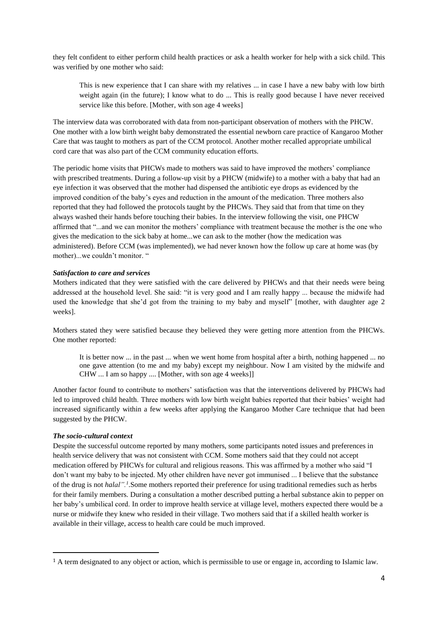they felt confident to either perform child health practices or ask a health worker for help with a sick child. This was verified by one mother who said:

This is new experience that I can share with my relatives ... in case I have a new baby with low birth weight again (in the future); I know what to do ... This is really good because I have never received service like this before. [Mother, with son age 4 weeks]

The interview data was corroborated with data from non-participant observation of mothers with the PHCW. One mother with a low birth weight baby demonstrated the essential newborn care practice of Kangaroo Mother Care that was taught to mothers as part of the CCM protocol. Another mother recalled appropriate umbilical cord care that was also part of the CCM community education efforts.

The periodic home visits that PHCWs made to mothers was said to have improved the mothers' compliance with prescribed treatments. During a follow-up visit by a PHCW (midwife) to a mother with a baby that had an eye infection it was observed that the mother had dispensed the antibiotic eye drops as evidenced by the improved condition of the baby's eyes and reduction in the amount of the medication. Three mothers also reported that they had followed the protocols taught by the PHCWs. They said that from that time on they always washed their hands before touching their babies. In the interview following the visit, one PHCW affirmed that "...and we can monitor the mothers' compliance with treatment because the mother is the one who gives the medication to the sick baby at home...we can ask to the mother (how the medication was administered). Before CCM (was implemented), we had never known how the follow up care at home was (by mother)...we couldn't monitor. "

#### *Satisfaction to care and services*

Mothers indicated that they were satisfied with the care delivered by PHCWs and that their needs were being addressed at the household level. She said: "it is very good and I am really happy ... because the midwife had used the knowledge that she'd got from the training to my baby and myself" [mother, with daughter age 2 weeks].

Mothers stated they were satisfied because they believed they were getting more attention from the PHCWs. One mother reported:

It is better now ... in the past ... when we went home from hospital after a birth, nothing happened ... no one gave attention (to me and my baby) except my neighbour. Now I am visited by the midwife and CHW *.*.. I am so happy .... [Mother, with son age 4 weeks]]

Another factor found to contribute to mothers' satisfaction was that the interventions delivered by PHCWs had led to improved child health. Three mothers with low birth weight babies reported that their babies' weight had increased significantly within a few weeks after applying the Kangaroo Mother Care technique that had been suggested by the PHCW.

#### *The socio-cultural context*

**.** 

Despite the successful outcome reported by many mothers, some participants noted issues and preferences in health service delivery that was not consistent with CCM. Some mothers said that they could not accept medication offered by PHCWs for cultural and religious reasons. This was affirmed by a mother who said "I don't want my baby to be injected. My other children have never got immunised ... I believe that the substance of the drug is not *halal".<sup>1</sup>* .Some mothers reported their preference for using traditional remedies such as herbs for their family members. During a consultation a mother described putting a herbal substance akin to pepper on her baby's umbilical cord. In order to improve health service at village level, mothers expected there would be a nurse or midwife they knew who resided in their village. Two mothers said that if a skilled health worker is available in their village, access to health care could be much improved.

<sup>1</sup> A term designated to any object or action, which is permissible to use or engage in, according to Islamic law.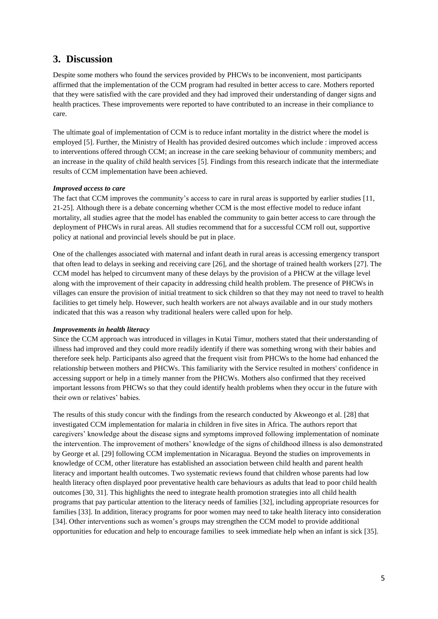# **3. Discussion**

Despite some mothers who found the services provided by PHCWs to be inconvenient, most participants affirmed that the implementation of the CCM program had resulted in better access to care. Mothers reported that they were satisfied with the care provided and they had improved their understanding of danger signs and health practices. These improvements were reported to have contributed to an increase in their compliance to care.

The ultimate goal of implementation of CCM is to reduce infant mortality in the district where the model is employed [\[5\]](#page-7-4). Further, the Ministry of Health has provided desired outcomes which include : improved access to interventions offered through CCM; an increase in the care seeking behaviour of community members; and an increase in the quality of child health services [\[5\]](#page-7-4). Findings from this research indicate that the intermediate results of CCM implementation have been achieved.

#### *Improved access to care*

The fact that CCM improves the community's access to care in rural areas is supported by earlier studies [\[11,](#page-7-17) [21-25\]](#page-7-18). Although there is a debate concerning whether CCM is the most effective model to reduce infant mortality, all studies agree that the model has enabled the community to gain better access to care through the deployment of PHCWs in rural areas. All studies recommend that for a successful CCM roll out, supportive policy at national and provincial levels should be put in place.

One of the challenges associated with maternal and infant death in rural areas is accessing emergency transport that often lead to delays in seeking and receiving care [\[26\]](#page-8-0), and the shortage of trained health workers [\[27\]](#page-8-1). The CCM model has helped to circumvent many of these delays by the provision of a PHCW at the village level along with the improvement of their capacity in addressing child health problem. The presence of PHCWs in villages can ensure the provision of initial treatment to sick children so that they may not need to travel to health facilities to get timely help. However, such health workers are not always available and in our study mothers indicated that this was a reason why traditional healers were called upon for help.

#### *Improvements in health literacy*

Since the CCM approach was introduced in villages in Kutai Timur, mothers stated that their understanding of illness had improved and they could more readily identify if there was something wrong with their babies and therefore seek help. Participants also agreed that the frequent visit from PHCWs to the home had enhanced the relationship between mothers and PHCWs. This familiarity with the Service resulted in mothers' confidence in accessing support or help in a timely manner from the PHCWs. Mothers also confirmed that they received important lessons from PHCWs so that they could identify health problems when they occur in the future with their own or relatives' babies.

The results of this study concur with the findings from the research conducted by Akweongo et al. [\[28\]](#page-8-2) that investigated CCM implementation for malaria in children in five sites in Africa. The authors report that caregivers' knowledge about the disease signs and symptoms improved following implementation of nominate the intervention. The improvement of mothers' knowledge of the signs of childhood illness is also demonstrated by George et al. [\[29\]](#page-8-3) following CCM implementation in Nicaragua. Beyond the studies on improvements in knowledge of CCM, other literature has established an association between child health and parent health literacy and important health outcomes. Two systematic reviews found that children whose parents had low health literacy often displayed poor preventative health care behaviours as adults that lead to poor child health outcomes [\[30,](#page-8-4) [31\]](#page-8-5). This highlights the need to integrate health promotion strategies into all child health programs that pay particular attention to the literacy needs of families [\[32\]](#page-8-6), including appropriate resources for families [\[33\]](#page-8-7). In addition, literacy programs for poor women may need to take health literacy into consideration [\[34\]](#page-8-8). Other interventions such as women's groups may strengthen the CCM model to provide additional opportunities for education and help to encourage families to seek immediate help when an infant is sick [\[35\]](#page-8-9).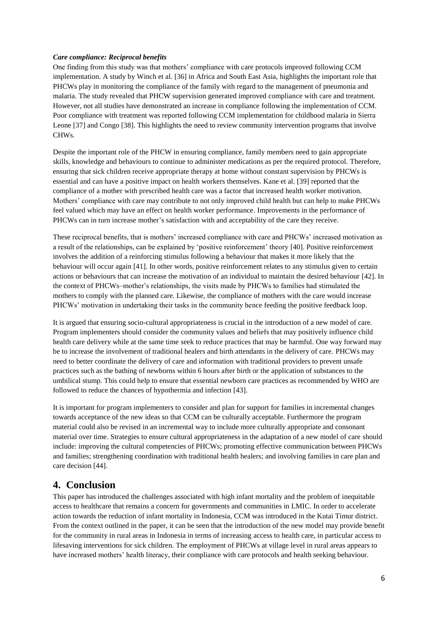#### *Care compliance: Reciprocal benefits*

One finding from this study was that mothers' compliance with care protocols improved following CCM implementation. A study by Winch et al. [\[36\]](#page-8-10) in Africa and South East Asia, highlights the important role that PHCWs play in monitoring the compliance of the family with regard to the management of pneumonia and malaria. The study revealed that PHCW supervision generated improved compliance with care and treatment. However, not all studies have demonstrated an increase in compliance following the implementation of CCM. Poor compliance with treatment was reported following CCM implementation for childhood malaria in Sierra Leone [\[37\]](#page-8-11) and Congo [\[38\]](#page-8-12). This highlights the need to review community intervention programs that involve CHWs.

Despite the important role of the PHCW in ensuring compliance, family members need to gain appropriate skills, knowledge and behaviours to continue to administer medications as per the required protocol. Therefore, ensuring that sick children receive appropriate therapy at home without constant supervision by PHCWs is essential and can have a positive impact on health workers themselves. Kane et al. [\[39\]](#page-8-13) reported that the compliance of a mother with prescribed health care was a factor that increased health worker motivation. Mothers' compliance with care may contribute to not only improved child health but can help to make PHCWs feel valued which may have an effect on health worker performance. Improvements in the performance of PHCWs can in turn increase mother's satisfaction with and acceptability of the care they receive.

These reciprocal benefits, that is mothers' increased compliance with care and PHCWs' increased motivation as a result of the relationships, can be explained by 'positive reinforcement' theory [\[40\]](#page-8-14). Positive reinforcement involves the addition of a reinforcing stimulus following a behaviour that makes it more likely that the behaviour will occur again [\[41\]](#page-8-15). In other words, positive reinforcement relates to any stimulus given to certain actions or behaviours that can increase the motivation of an individual to maintain the desired behaviour [\[42\]](#page-8-16). In the context of PHCWs–mother's relationships, the visits made by PHCWs to families had stimulated the mothers to comply with the planned care. Likewise, the compliance of mothers with the care would increase PHCWs' motivation in undertaking their tasks in the community hence feeding the positive feedback loop.

It is argued that ensuring socio-cultural appropriateness is crucial in the introduction of a new model of care. Program implementers should consider the community values and beliefs that may positively influence child health care delivery while at the same time seek to reduce practices that may be harmful. One way forward may be to increase the involvement of traditional healers and birth attendants in the delivery of care. PHCWs may need to better coordinate the delivery of care and information with traditional providers to prevent unsafe practices such as the bathing of newborns within 6 hours after birth or the application of substances to the umbilical stump. This could help to ensure that essential newborn care practices as recommended by WHO are followed to reduce the chances of hypothermia and infection [\[43\]](#page-8-17).

It is important for program implementers to consider and plan for support for families in incremental changes towards acceptance of the new ideas so that CCM can be culturally acceptable. Furthermore the program material could also be revised in an incremental way to include more culturally appropriate and consonant material over time. Strategies to ensure cultural appropriateness in the adaptation of a new model of care should include: improving the cultural competencies of PHCWs; promoting effective communication between PHCWs and families; strengthening coordination with traditional health healers; and involving families in care plan and care decision [\[44\]](#page-8-18).

### **4. Conclusion**

This paper has introduced the challenges associated with high infant mortality and the problem of inequitable access to healthcare that remains a concern for governments and communities in LMIC. In order to accelerate action towards the reduction of infant mortality in Indonesia, CCM was introduced in the Kutai Timur district. From the context outlined in the paper, it can be seen that the introduction of the new model may provide benefit for the community in rural areas in Indonesia in terms of increasing access to health care, in particular access to lifesaving interventions for sick children. The employment of PHCWs at village level in rural areas appears to have increased mothers' health literacy, their compliance with care protocols and health seeking behaviour.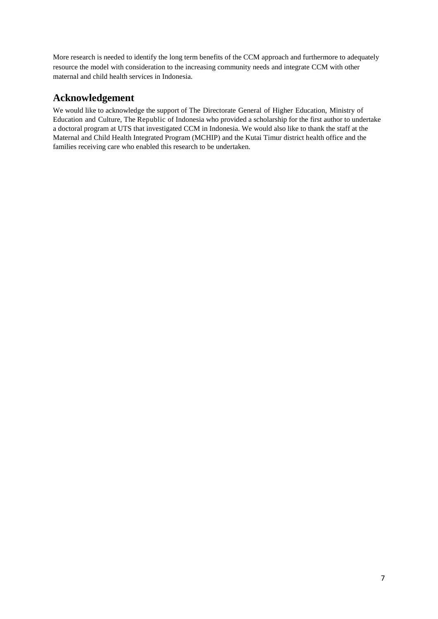More research is needed to identify the long term benefits of the CCM approach and furthermore to adequately resource the model with consideration to the increasing community needs and integrate CCM with other maternal and child health services in Indonesia.

# **Acknowledgement**

We would like to acknowledge the support of The Directorate General of Higher Education, Ministry of Education and Culture, The Republic of Indonesia who provided a scholarship for the first author to undertake a doctoral program at UTS that investigated CCM in Indonesia. We would also like to thank the staff at the Maternal and Child Health Integrated Program (MCHIP) and the Kutai Timur district health office and the families receiving care who enabled this research to be undertaken.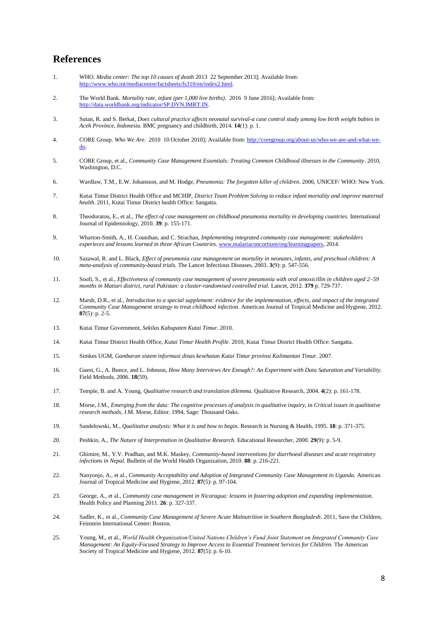### **References**

- <span id="page-7-0"></span>1. WHO. *Media center: The top 10 causes of death* 2013 22 September 2013]; Available from: [http://www.who.int/mediacentre/factsheets/fs310/en/index2.html.](http://www.who.int/mediacentre/factsheets/fs310/en/index2.html)
- <span id="page-7-1"></span>2. The World Bank. *Mortality rate, infant (per 1,000 live births)*. 2016 9 June 2016]; Available from: [http://data.worldbank.org/indicator/SP.DYN.IMRT.IN.](http://data.worldbank.org/indicator/SP.DYN.IMRT.IN)
- <span id="page-7-2"></span>3. Sutan, R. and S. Berkat, *Does cultural practice affects neonatal survival-a case control study among low birth weight babies in Aceh Province, Indonesia.* BMC pregnancy and childbirth, 2014. **14**(1): p. 1.
- <span id="page-7-3"></span>4. CORE Group. *Who We Are*. 2010 10 October 2010]; Available from[: http://coregroup.org/about-us/who-we-are-and-what-we](http://coregroup.org/about-us/who-we-are-and-what-we-do)[do.](http://coregroup.org/about-us/who-we-are-and-what-we-do)
- <span id="page-7-4"></span>5. CORE Group, et al., *Community Case Management Essentials: Treating Common Childhood illnesses in the Community*. 2010, Washington, D.C.
- <span id="page-7-6"></span><span id="page-7-5"></span>6. Wardlaw, T.M., E.W. Johansson, and M. Hodge, *Pneumonia: The forgotten killer of children*. 2006, UNICEF/ WHO: New York.
- 7. Kutai Timur District Health Office and MCHIP, *District Team Problem Solving to reduce infant mortality and improve maternal health*. 2011, Kutai Timur District health Office: Sangatta.
- 8. Theodoratou, E., et al., *The effect of case management on childhood pneumonia mortality in developing countries.* International Journal of Epidemiology, 2010. **39**: p. 155-171.
- <span id="page-7-8"></span>9. Wharton-Smith, A., H. Counihan, and C. Strachan, *Implementing integrated community case management: stakeholders experieces and lessons learned in three African Countries.* [www.malariaconcortium/org/learningpapers,](http://www.malariaconcortium/org/learningpapers) 2014.
- <span id="page-7-7"></span>10. Sazawal, R. and L. Black, *Effect of pneumonia case management on mortality in neonates, infants, and preschool children: A meta-analysis of community-based trials.* The Lancet Infectious Diseases, 2003. **3**(9): p. 547-556.
- <span id="page-7-17"></span>11. Soofi, S., et al., *Effectiveness of community case management of severe pneumonia with oral amoxicillin in children aged 2–59 months in Matiari district, rural Pakistan: a cluster-randomised controlled trial.* Lancet, 2012. **379** p. 729-737.
- 12. Marsh, D.R., et al., *Introduction to a special supplement: evidence for the implementation, effects, and impact of the integrated Community Case Management strategy to treat childhood infection.* American Journal of Tropical Medicine and Hygiene, 2012. **87**(5): p. 2-5.
- <span id="page-7-10"></span><span id="page-7-9"></span>13. Kutai Timur Government, *Sekilas Kabupaten Kutai Timur*. 2010.
- <span id="page-7-11"></span>14. Kutai Timur District Health Office, *Kutai Timur Health Profile*. 2010, Kutai Timur District Health Office: Sangatta.
- <span id="page-7-12"></span>15. Simkes UGM, *Gambaran sistem informasi dinas kesehatan Kutai Timur provinsi Kalimantan Timur*. 2007.
- 16. Guest, G., A. Bunce, and L. Johnson, *How Many Interviews Are Enough?: An Experiment with Data Saturation and Variability.* Field Methods, 2006. **18**(59).
- <span id="page-7-14"></span><span id="page-7-13"></span>17. Temple, B. and A. Young, *Qualitative research and translation dilemma.* Qualitative Research, 2004. **4**(2): p. 161-178.
- 18. Morse, J.M., *Emerging from the data: The cognitive processes of analysis in qualitative inquiry*, in *Critical issues in qualitative research methods*, J.M. Morse, Editor. 1994, Sage: Thousand Oaks.
- <span id="page-7-15"></span>19. Sandelowski, M., *Qualitative analysis: What it is and how to begin.* Research in Nursing & Health, 1995. **18**: p. 371-375.
- <span id="page-7-18"></span><span id="page-7-16"></span>20. Peshkin, A., *The Nature of Interpretation in Qualitative Research.* Educational Researcher, 2000. **29**(9): p. 5-9.
- 21. Ghimire, M., Y.V. Pradhan, and M.K. Maskey, *Community-based interventions for diarrhoeal diseases and acute respiratory infections in Nepal.* Bulletin of the World Health Organization, 2010. **88**: p. 216-221.
- 22. Nanyonjo, A., et al., *Community Acceptability and Adoption of Integrated Community Case Management in Uganda.* American Journal of Tropical Medicine and Hygiene, 2012. **87**(5): p. 97-104.
- 23. George, A., et al., *Community case management in Nicaragua: lessons in fostering adoption and expanding implementation.* Health Policy and Planning 2011. **26**: p. 327-337.
- 24. Sadler, K., et al., *Community Case Management of Severe Acute Malnutrition in Southern Bangladesh*. 2011, Save the Children, Feinstein International Center: Boston.
- 25. Young, M., et al., *World Health Organization/United Nations Children's Fund Joint Statement on Integrated Community Case Management: An Equity-Focused Strategy to Improve Access to Essential Treatment Services for Children.* The American Society of Tropical Medicine and Hygiene, 2012. **87**(5): p. 6-10.